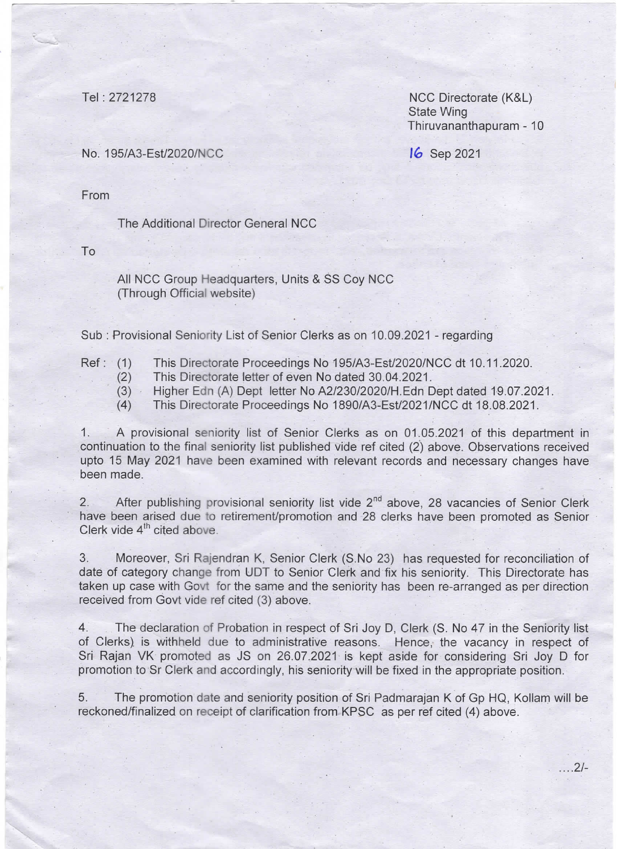Tel : 2721278

NCC Directorate (K&L) State Wing Thiruvananthapuram -10

16 Sep 2021

No.195/A3-Est/2020/NCC

From

The Additional Director General NCC

To

 $\ddot{\phantom{0}}$ 

All NCC Group Headquarters, Units & SS Coy NCC (Through Official website)

Sub: Provisional Seniority List of Senior Clerks as on 10.09.2021 - regarding

- Ref: (1) This Directorate Proceedings No 195/A3-Est/2020/NCC dt 10.11.2020.
	- (2) This Directorate letter of even No dated 30.04.2021.<br>(3) Higher Edn (A) Dept letter No A2/230/2020/H.Edn D
	- Higher Edn (A) Dept letter No A2/230/2020/H.Edn Dept dated 19.07.2021.
	- (4) This Directorate proceedings No 1890/A3-Est/2021/NCc dt 18.08.2021.

1. A provisional seniority list of Senior Clerks as on 01.05.2021 of this department in continuation to the final seniority list published vide ref cited (2) above. Observations received upto 15 May 2021 have been examined with relevant records and necessary changes have been made.

2. After publishing provisional seniority list vide 2<sup>nd</sup> above, 28 vacancies of Senior Clerk have been arised due to retirement/promotion and 28 clerks have been promoted as Senior Clerk vide 4<sup>th</sup> cited above.

3. Moreover, Sri Rajendran K, Senior clerk (S No 23) has requested for reconciliatlon of date of category change from UDT to Senior Clerk and fix his seniority. This Directorate has taken up case with Govt for the same and the seniority has been re-arranged as per direction received from Govt vide ref cited (3) above.

4. The declaration of Probation in respect of Sri Joy D, Clerk (S. No 47 in the Seniority list of Clerks) is withheld due to administrative reasons. Hence, the vacancy in respect of Sri Rajan VK promoted as JS on 26.07.2021 is kept aside for considering Sri Joy D for promotion to Sr Clerk and accordingly, his senioritywill be fixed in the appropriate position.

5. The promotion date and seniority position of Sri Padmarajan K of Gp HQ, Kollam will be reckoned/finalized on receipt of clarification from KPSC as per ref cited (4) above.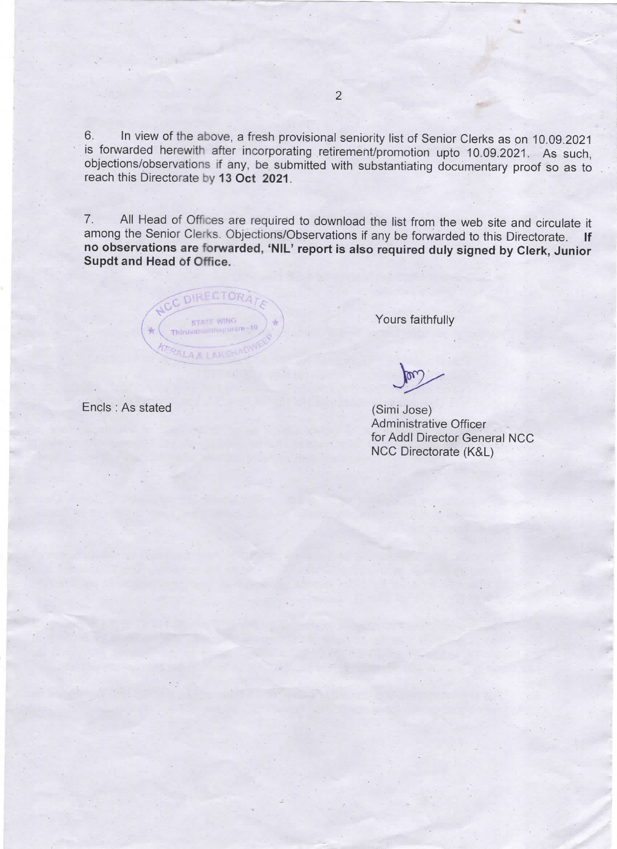6. In view of the above, a fresh provisional seniority list of senior clerks as on 10.09.2021 is forwarded herewith after incorporating retirement/promotion upto 10.09.2021. As such, objections/Observations if any, be submitted with substantiating documentary proof so as to reach this Directorate by 13 0ct 2021.

7. All Head of Offices are required to download the list from the web site and circulate it among the Senior Clerks. Objections/Observations if any be forwarded to this Directorate. If no observations are forwarded, `NIL' report is also required duly signed by Clerk, Junior Supdt and Head of Office.

**DIRECTORA** 【五足1五区

Yours faithfully

 $+m$ 

(Simi Jose) Administrative Officer for Addl Director Geheral NCC NCC Directorate (K&L)

Encls : As stated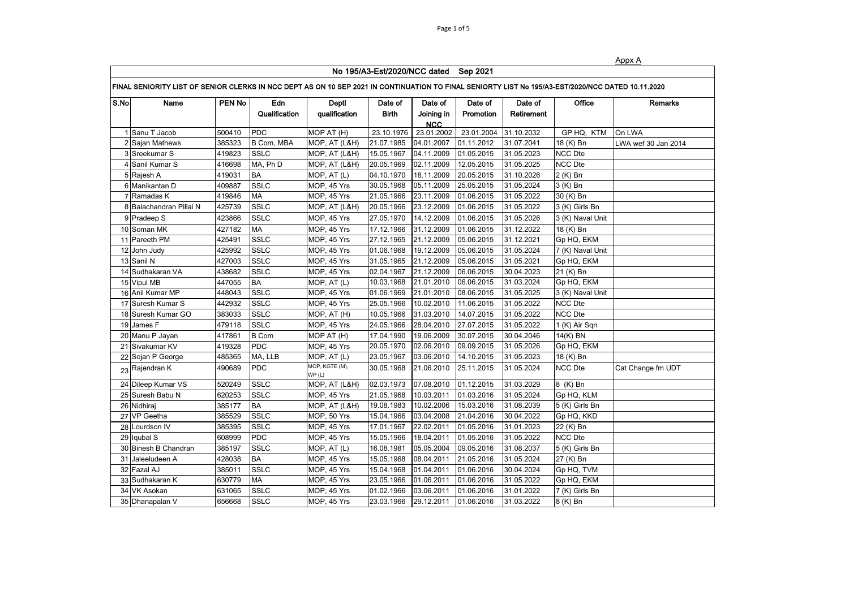|--|

|      | No 195/A3-Est/2020/NCC dated Sep 2021                                                                                                              |               |               |                          |              |                          |            |            |                  |                     |  |
|------|----------------------------------------------------------------------------------------------------------------------------------------------------|---------------|---------------|--------------------------|--------------|--------------------------|------------|------------|------------------|---------------------|--|
|      | FINAL SENIORITY LIST OF SENIOR CLERKS IN NCC DEPT AS ON 10 SEP 2021 IN CONTINUATION TO FINAL SENIORTY LIST No 195/A3-EST/2020/NCC DATED 10.11.2020 |               |               |                          |              |                          |            |            |                  |                     |  |
| S.No | Name                                                                                                                                               | <b>PEN No</b> | Edn           | Deptl                    | Date of      | Date of                  | Date of    | Date of    | Office           | Remarks             |  |
|      |                                                                                                                                                    |               | Qualification | qualification            | <b>Birth</b> | Joining in<br><b>NCC</b> | Promotion  | Retirement |                  |                     |  |
|      | Sanu T Jacob                                                                                                                                       | 500410        | <b>PDC</b>    | MOP AT (H)               | 23.10.1976   | 23.01.2002               | 23.01.2004 | 31.10.2032 | GP HQ, KTM       | On LWA              |  |
|      | 2 Sajan Mathews                                                                                                                                    | 385323        | B Com, MBA    | MOP, AT (L&H)            | 21.07.1985   | 04.01.2007               | 01.11.2012 | 31.07.2041 | 18 (K) Bn        | LWA wef 30 Jan 2014 |  |
|      | 3 Sreekumar S                                                                                                                                      | 419823        | <b>SSLC</b>   | MOP, AT (L&H)            | 15.05.1967   | 04.11.2009               | 01.05.2015 | 31.05.2023 | <b>NCC Dte</b>   |                     |  |
|      | 4 Sanil Kumar S                                                                                                                                    | 416698        | MA, Ph D      | MOP, AT (L&H)            | 20.05.1969   | 02.11.2009               | 12.05.2015 | 31.05.2025 | <b>NCC Dte</b>   |                     |  |
|      | 5 Rajesh A                                                                                                                                         | 419031        | <b>BA</b>     | MOP, AT (L)              | 04.10.1970   | 18.11.2009               | 20.05.2015 | 31.10.2026 | 2 (K) Bn         |                     |  |
|      | 6 Manikantan D                                                                                                                                     | 409887        | <b>SSLC</b>   | MOP, 45 Yrs              | 30.05.1968   | 05.11.2009               | 25.05.2015 | 31.05.2024 | 3 (K) Bn         |                     |  |
|      | 7 Ramadas K                                                                                                                                        | 419846        | <b>MA</b>     | MOP, 45 Yrs              | 21.05.1966   | 23.11.2009               | 01.06.2015 | 31.05.2022 | 30 (K) Bn        |                     |  |
|      | 8 Balachandran Pillai N                                                                                                                            | 425739        | <b>SSLC</b>   | MOP, AT (L&H)            | 20.05.1966   | 23.12.2009               | 01.06.2015 | 31.05.2022 | 3 (K) Girls Bn   |                     |  |
|      | 9 Pradeep S                                                                                                                                        | 423866        | <b>SSLC</b>   | MOP, 45 Yrs              | 27.05.1970   | 14.12.2009               | 01.06.2015 | 31.05.2026 | 3 (K) Naval Unit |                     |  |
|      | 10 Soman MK                                                                                                                                        | 427182        | <b>MA</b>     | MOP, 45 Yrs              | 17.12.1966   | 31.12.2009               | 01.06.2015 | 31.12.2022 | 18 (K) Bn        |                     |  |
|      | 11 Pareeth PM                                                                                                                                      | 425491        | <b>SSLC</b>   | MOP, 45 Yrs              | 27.12.1965   | 21.12.2009               | 05.06.2015 | 31.12.2021 | Gp HQ, EKM       |                     |  |
|      | 12 John Judy                                                                                                                                       | 425992        | <b>SSLC</b>   | MOP, 45 Yrs              | 01.06.1968   | 19.12.2009               | 05.06.2015 | 31.05.2024 | 7 (K) Naval Unit |                     |  |
|      | 13 Sanil N                                                                                                                                         | 427003        | <b>SSLC</b>   | MOP, 45 Yrs              | 31.05.1965   | 21.12.2009               | 05.06.2015 | 31.05.2021 | Gp HQ, EKM       |                     |  |
|      | 14 Sudhakaran VA                                                                                                                                   | 438682        | <b>SSLC</b>   | MOP, 45 Yrs              | 02.04.1967   | 21.12.2009               | 06.06.2015 | 30.04.2023 | 21 (K) Bn        |                     |  |
|      | 15 Vipul MB                                                                                                                                        | 447055        | <b>BA</b>     | MOP, AT (L)              | 10.03.1968   | 21.01.2010               | 06.06.2015 | 31.03.2024 | Gp HQ, EKM       |                     |  |
|      | 16 Anil Kumar MP                                                                                                                                   | 448043        | <b>SSLC</b>   | MOP, 45 Yrs              | 01.06.1969   | 21.01.2010               | 08.06.2015 | 31.05.2025 | 3 (K) Naval Unit |                     |  |
|      | 17 Suresh Kumar S                                                                                                                                  | 442932        | <b>SSLC</b>   | MOP, 45 Yrs              | 25.05.1966   | 10.02.2010               | 11.06.2015 | 31.05.2022 | NCC Dte          |                     |  |
|      | 18 Suresh Kumar GO                                                                                                                                 | 383033        | <b>SSLC</b>   | MOP, AT (H)              | 10.05.1966   | 31.03.2010               | 14.07.2015 | 31.05.2022 | <b>NCC Dte</b>   |                     |  |
|      | 19 James F                                                                                                                                         | 479118        | <b>SSLC</b>   | MOP, 45 Yrs              | 24.05.1966   | 28.04.2010               | 27.07.2015 | 31.05.2022 | 1 (K) Air Sqn    |                     |  |
|      | 20 Manu P Jayan                                                                                                                                    | 417861        | <b>B</b> Com  | MOP AT (H)               | 17.04.1990   | 19.06.2009               | 30.07.2015 | 30.04.2046 | 14(K) BN         |                     |  |
|      | 21 Sivakumar KV                                                                                                                                    | 419328        | <b>PDC</b>    | MOP, 45 Yrs              | 20.05.1970   | 02.06.2010               | 09.09.2015 | 31.05.2026 | Gp HQ, EKM       |                     |  |
|      | 22 Sojan P George                                                                                                                                  | 485365        | MA, LLB       | MOP, AT (L)              | 23.05.1967   | 03.06.2010               | 14.10.2015 | 31.05.2023 | 18 (K) Bn        |                     |  |
|      | 23 Rajendran K                                                                                                                                     | 490689        | <b>PDC</b>    | MOP, KGTE (M),<br>WP (L) | 30.05.1968   | 21.06.2010               | 25.11.2015 | 31.05.2024 | <b>NCC Dte</b>   | Cat Change fm UDT   |  |
|      | 24 Dileep Kumar VS                                                                                                                                 | 520249        | <b>SSLC</b>   | MOP, AT (L&H)            | 02.03.1973   | 07.08.2010               | 01.12.2015 | 31.03.2029 | 8 (K) Bn         |                     |  |
|      | 25 Suresh Babu N                                                                                                                                   | 620253        | <b>SSLC</b>   | MOP, 45 Yrs              | 21.05.1968   | 10.03.2011               | 01.03.2016 | 31.05.2024 | Gp HQ, KLM       |                     |  |
|      | 26 Nidhiraj                                                                                                                                        | 385177        | <b>BA</b>     | MOP, AT (L&H)            | 19.08.1983   | 10.02.2006               | 15.03.2016 | 31.08.2039 | 5 (K) Girls Bn   |                     |  |
|      | 27 VP Geetha                                                                                                                                       | 385529        | <b>SSLC</b>   | MOP, 50 Yrs              | 15.04.1966   | 03.04.2008               | 21.04.2016 | 30.04.2022 | Gp HQ, KKD       |                     |  |
|      | 28 Lourdson IV                                                                                                                                     | 385395        | <b>SSLC</b>   | MOP, 45 Yrs              | 17.01.1967   | 22.02.2011               | 01.05.2016 | 31.01.2023 | 22 (K) Bn        |                     |  |
|      | 29 Iqubal S                                                                                                                                        | 608999        | <b>PDC</b>    | MOP, 45 Yrs              | 15.05.1966   | 18.04.2011               | 01.05.2016 | 31.05.2022 | <b>NCC Dte</b>   |                     |  |
|      | 30 Binesh B Chandran                                                                                                                               | 385197        | <b>SSLC</b>   | MOP, AT (L)              | 16.08.1981   | 05.05.2004               | 09.05.2016 | 31.08.2037 | 5 (K) Girls Bn   |                     |  |
|      | 31 Jaleeludeen A                                                                                                                                   | 428038        | <b>BA</b>     | MOP, 45 Yrs              | 15.05.1968   | 08.04.2011               | 21.05.2016 | 31.05.2024 | 27 (K) Bn        |                     |  |
|      | 32 Fazal AJ                                                                                                                                        | 385011        | <b>SSLC</b>   | MOP, 45 Yrs              | 15.04.1968   | 01.04.2011               | 01.06.2016 | 30.04.2024 | Gp HQ, TVM       |                     |  |
|      | 33 Sudhakaran K                                                                                                                                    | 630779        | <b>MA</b>     | MOP, 45 Yrs              | 23.05.1966   | 01.06.2011               | 01.06.2016 | 31.05.2022 | Gp HQ, EKM       |                     |  |
|      | 34 VK Asokan                                                                                                                                       | 631065        | <b>SSLC</b>   | MOP, 45 Yrs              | 01.02.1966   | 03.06.2011               | 01.06.2016 | 31.01.2022 | 7 (K) Girls Bn   |                     |  |
|      | 35 Dhanapalan V                                                                                                                                    | 656668        | <b>SSLC</b>   | MOP, 45 Yrs              | 23.03.1966   | 29.12.2011               | 01.06.2016 | 31.03.2022 | 8 (K) Bn         |                     |  |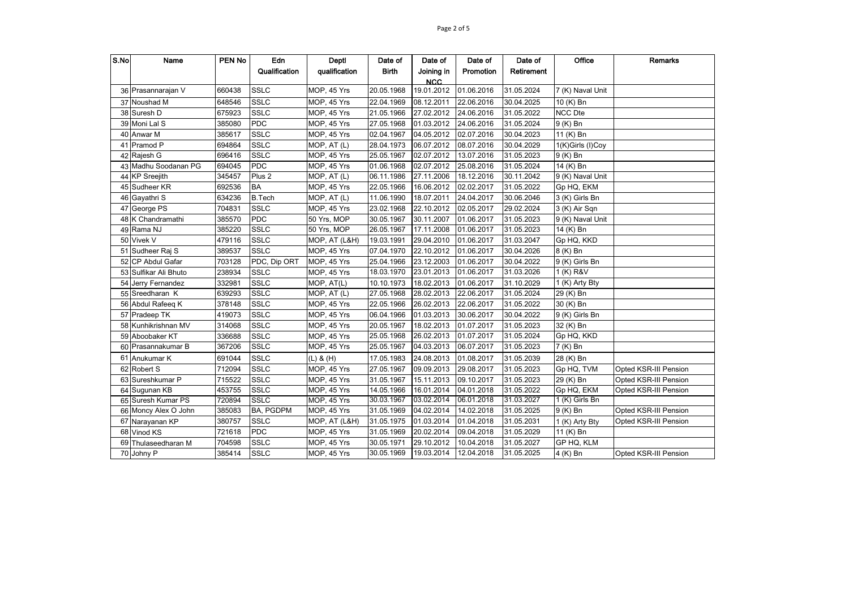| S.No | Name                  | <b>PEN No</b> | Edn               | Deptl         | Date of      | Date of    | Date of    | Date of    | Office           | <b>Remarks</b>        |
|------|-----------------------|---------------|-------------------|---------------|--------------|------------|------------|------------|------------------|-----------------------|
|      |                       |               | Qualification     | qualification | <b>Birth</b> | Joining in | Promotion  | Retirement |                  |                       |
|      |                       |               |                   |               |              | <b>NCC</b> |            |            |                  |                       |
|      | 36 Prasannarajan V    | 660438        | <b>SSLC</b>       | MOP, 45 Yrs   | 20.05.1968   | 19.01.2012 | 01.06.2016 | 31.05.2024 | 7 (K) Naval Unit |                       |
|      | 37 Noushad M          | 648546        | <b>SSLC</b>       | MOP, 45 Yrs   | 22.04.1969   | 08.12.2011 | 22.06.2016 | 30.04.2025 | 10 (K) Bn        |                       |
|      | 38 Suresh D           | 675923        | <b>SSLC</b>       | MOP, 45 Yrs   | 21.05.1966   | 27.02.2012 | 24.06.2016 | 31.05.2022 | <b>NCC Dte</b>   |                       |
|      | 39 Moni Lal S         | 385080        | <b>PDC</b>        | MOP, 45 Yrs   | 27.05.1968   | 01.03.2012 | 24.06.2016 | 31.05.2024 | 9 (K) Bn         |                       |
|      | 40 Anwar M            | 385617        | <b>SSLC</b>       | MOP, 45 Yrs   | 02.04.1967   | 04.05.2012 | 02.07.2016 | 30.04.2023 | 11 (K) Bn        |                       |
|      | 41 Pramod P           | 694864        | <b>SSLC</b>       | MOP, AT (L)   | 28.04.1973   | 06.07.2012 | 08.07.2016 | 30.04.2029 | 1(K)Girls (I)Coy |                       |
|      | 42 Rajesh G           | 696416        | <b>SSLC</b>       | MOP, 45 Yrs   | 25.05.1967   | 02.07.2012 | 13.07.2016 | 31.05.2023 | 9 (K) Bn         |                       |
|      | 43 Madhu Soodanan PG  | 694045        | <b>PDC</b>        | MOP, 45 Yrs   | 01.06.1968   | 02.07.2012 | 25.08.2016 | 31.05.2024 | 14 (K) Bn        |                       |
|      | 44 KP Sreejith        | 345457        | Plus <sub>2</sub> | MOP, AT (L)   | 06.11.1986   | 27.11.2006 | 18.12.2016 | 30.11.2042 | 9 (K) Naval Unit |                       |
|      | 45 Sudheer KR         | 692536        | <b>BA</b>         | MOP, 45 Yrs   | 22.05.1966   | 16.06.2012 | 02.02.2017 | 31.05.2022 | Gp HQ, EKM       |                       |
|      | 46 Gayathri S         | 634236        | <b>B.Tech</b>     | MOP, AT (L)   | 11.06.1990   | 18.07.2011 | 24.04.2017 | 30.06.2046 | 3 (K) Girls Bn   |                       |
|      | 47 George PS          | 704831        | <b>SSLC</b>       | MOP, 45 Yrs   | 23.02.1968   | 22.10.2012 | 02.05.2017 | 29.02.2024 | 3 (K) Air Sqn    |                       |
|      | 48 K Chandramathi     | 385570        | <b>PDC</b>        | 50 Yrs, MOP   | 30.05.1967   | 30.11.2007 | 01.06.2017 | 31.05.2023 | 9 (K) Naval Unit |                       |
|      | 49 Rama NJ            | 385220        | <b>SSLC</b>       | 50 Yrs, MOP   | 26.05.1967   | 17.11.2008 | 01.06.2017 | 31.05.2023 | 14 (K) Bn        |                       |
|      | 50 Vivek V            | 479116        | <b>SSLC</b>       | MOP, AT (L&H) | 19.03.1991   | 29.04.2010 | 01.06.2017 | 31.03.2047 | Gp HQ, KKD       |                       |
|      | 51 Sudheer Raj S      | 389537        | <b>SSLC</b>       | MOP, 45 Yrs   | 07.04.1970   | 22.10.2012 | 01.06.2017 | 30.04.2026 | 8 (K) Bn         |                       |
|      | 52 CP Abdul Gafar     | 703128        | PDC, Dip ORT      | MOP, 45 Yrs   | 25.04.1966   | 23.12.2003 | 01.06.2017 | 30.04.2022 | 9 (K) Girls Bn   |                       |
|      | 53 Sulfikar Ali Bhuto | 238934        | <b>SSLC</b>       | MOP, 45 Yrs   | 18.03.1970   | 23.01.2013 | 01.06.2017 | 31.03.2026 | 1 (K) R&V        |                       |
| 54   | Jerry Fernandez       | 332981        | <b>SSLC</b>       | MOP, AT(L)    | 10.10.1973   | 18.02.2013 | 01.06.2017 | 31.10.2029 | 1 (K) Arty Bty   |                       |
|      | 55 Sreedharan K       | 639293        | <b>SSLC</b>       | MOP, AT (L)   | 27.05.1968   | 28.02.2013 | 22.06.2017 | 31.05.2024 | 29 (K) Bn        |                       |
|      | 56 Abdul Rafeeg K     | 378148        | <b>SSLC</b>       | MOP, 45 Yrs   | 22.05.1966   | 26.02.2013 | 22.06.2017 | 31.05.2022 | 30 (K) Bn        |                       |
|      | 57 Pradeep TK         | 419073        | <b>SSLC</b>       | MOP, 45 Yrs   | 06.04.1966   | 01.03.2013 | 30.06.2017 | 30.04.2022 | 9 (K) Girls Bn   |                       |
|      | 58 Kunhikrishnan MV   | 314068        | <b>SSLC</b>       | MOP, 45 Yrs   | 20.05.1967   | 18.02.2013 | 01.07.2017 | 31.05.2023 | 32 (K) Bn        |                       |
|      | 59 Aboobaker KT       | 336688        | <b>SSLC</b>       | MOP, 45 Yrs   | 25.05.1968   | 26.02.2013 | 01.07.2017 | 31.05.2024 | Gp HQ, KKD       |                       |
|      | 60 Prasannakumar B    | 367206        | <b>SSLC</b>       | MOP, 45 Yrs   | 25.05.1967   | 04.03.2013 | 06.07.2017 | 31.05.2023 | 7 (K) Bn         |                       |
|      | 61 Anukumar K         | 691044        | <b>SSLC</b>       | $(L)$ & $(H)$ | 17.05.1983   | 24.08.2013 | 01.08.2017 | 31.05.2039 | 28 (K) Bn        |                       |
|      | 62 Robert S           | 712094        | <b>SSLC</b>       | MOP, 45 Yrs   | 27.05.1967   | 09.09.2013 | 29.08.2017 | 31.05.2023 | Gp HQ, TVM       | Opted KSR-III Pension |
|      | 63 Sureshkumar P      | 715522        | <b>SSLC</b>       | MOP, 45 Yrs   | 31.05.1967   | 15.11.2013 | 09.10.2017 | 31.05.2023 | 29 (K) Bn        | Opted KSR-III Pension |
|      | 64 Sugunan KB         | 453755        | <b>SSLC</b>       | MOP, 45 Yrs   | 14.05.1966   | 16.01.2014 | 04.01.2018 | 31.05.2022 | Gp HQ, EKM       | Opted KSR-III Pension |
|      | 65 Suresh Kumar PS    | 720894        | <b>SSLC</b>       | MOP, 45 Yrs   | 30.03.1967   | 03.02.2014 | 06.01.2018 | 31.03.2027 | 1 (K) Girls Bn   |                       |
|      | 66 Moncy Alex O John  | 385083        | BA, PGDPM         | MOP, 45 Yrs   | 31.05.1969   | 04.02.2014 | 14.02.2018 | 31.05.2025 | 9 (K) Bn         | Opted KSR-III Pension |
|      | 67 Narayanan KP       | 380757        | <b>SSLC</b>       | MOP, AT (L&H) | 31.05.1975   | 01.03.2014 | 01.04.2018 | 31.05.2031 | 1 (K) Arty Bty   | Opted KSR-III Pension |
|      | 68 Vinod KS           | 721618        | <b>PDC</b>        | MOP, 45 Yrs   | 31.05.1969   | 20.02.2014 | 09.04.2018 | 31.05.2029 | 11 (K) Bn        |                       |
|      | 69 Thulaseedharan M   | 704598        | <b>SSLC</b>       | MOP, 45 Yrs   | 30.05.1971   | 29.10.2012 | 10.04.2018 | 31.05.2027 | GP HQ, KLM       |                       |
|      | 70 Johny P            | 385414        | <b>SSLC</b>       | MOP, 45 Yrs   | 30.05.1969   | 19.03.2014 | 12.04.2018 | 31.05.2025 | 4 (K) Bn         | Opted KSR-III Pension |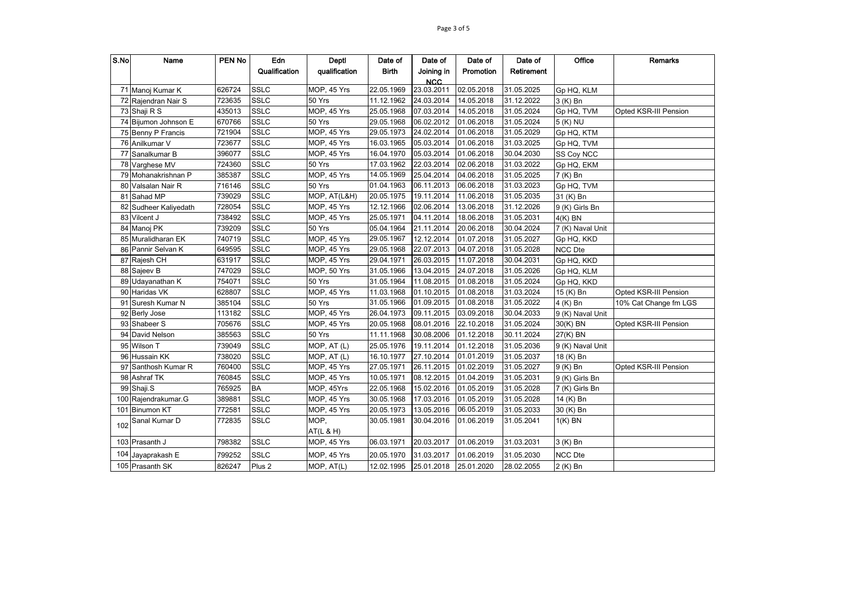| S.No | Name                 | <b>PEN No</b> | Edn               | Deptl                     | Date of      | Date of    | Date of    | Date of    | Office           | <b>Remarks</b>        |
|------|----------------------|---------------|-------------------|---------------------------|--------------|------------|------------|------------|------------------|-----------------------|
|      |                      |               | Qualification     | qualification             | <b>Birth</b> | Joining in | Promotion  | Retirement |                  |                       |
|      |                      |               |                   |                           |              | <b>NCC</b> |            |            |                  |                       |
|      | 71 Manoj Kumar K     | 626724        | <b>SSLC</b>       | MOP, 45 Yrs               | 22.05.1969   | 23.03.2011 | 02.05.2018 | 31.05.2025 | Gp HQ, KLM       |                       |
|      | 72 Rajendran Nair S  | 723635        | <b>SSLC</b>       | 50 Yrs                    | 11.12.1962   | 24.03.2014 | 14.05.2018 | 31.12.2022 | 3 (K) Bn         |                       |
|      | 73 Shaji R S         | 435013        | <b>SSLC</b>       | MOP, 45 Yrs               | 25.05.1968   | 07.03.2014 | 14.05.2018 | 31.05.2024 | Gp HQ, TVM       | Opted KSR-III Pension |
|      | 74 Bijumon Johnson E | 670766        | SSLC              | 50 Yrs                    | 29.05.1968   | 06.02.2012 | 01.06.2018 | 31.05.2024 | 5 (K) NU         |                       |
|      | 75 Benny P Francis   | 721904        | <b>SSLC</b>       | MOP, 45 Yrs               | 29.05.1973   | 24.02.2014 | 01.06.2018 | 31.05.2029 | Gp HQ, KTM       |                       |
|      | 76 Anilkumar V       | 723677        | <b>SSLC</b>       | MOP, 45 Yrs               | 16.03.1965   | 05.03.2014 | 01.06.2018 | 31.03.2025 | Gp HQ, TVM       |                       |
|      | 77 Sanalkumar B      | 396077        | <b>SSLC</b>       | MOP, 45 Yrs               | 16.04.1970   | 05.03.2014 | 01.06.2018 | 30.04.2030 | SS Coy NCC       |                       |
|      | 78 Varghese MV       | 724360        | <b>SSLC</b>       | 50 Yrs                    | 17.03.1962   | 22.03.2014 | 02.06.2018 | 31.03.2022 | Gp HQ, EKM       |                       |
|      | 79 Mohanakrishnan P  | 385387        | <b>SSLC</b>       | MOP, 45 Yrs               | 14.05.1969   | 25.04.2014 | 04.06.2018 | 31.05.2025 | 7 (K) Bn         |                       |
|      | 80 Valsalan Nair R   | 716146        | <b>SSLC</b>       | 50 Yrs                    | 01.04.1963   | 06.11.2013 | 06.06.2018 | 31.03.2023 | Gp HQ, TVM       |                       |
|      | 81 Sahad MP          | 739029        | <b>SSLC</b>       | MOP, AT(L&H)              | 20.05.1975   | 19.11.2014 | 11.06.2018 | 31.05.2035 | 31 (K) Bn        |                       |
| 82   | Sudheer Kaliyedath   | 728054        | <b>SSLC</b>       | $\overline{M}$ OP, 45 Yrs | 12.12.1966   | 02.06.2014 | 13.06.2018 | 31.12.2026 | 9 (K) Girls Bn   |                       |
|      | 83 Vilcent J         | 738492        | <b>SSLC</b>       | MOP, 45 Yrs               | 25.05.1971   | 04.11.2014 | 18.06.2018 | 31.05.2031 | $4(K)$ BN        |                       |
|      | 84 Manoj PK          | 739209        | <b>SSLC</b>       | 50 Yrs                    | 05.04.1964   | 21.11.2014 | 20.06.2018 | 30.04.2024 | 7 (K) Naval Unit |                       |
|      | 85 Muralidharan EK   | 740719        | <b>SSLC</b>       | MOP, 45 Yrs               | 29.05.1967   | 12.12.2014 | 01.07.2018 | 31.05.2027 | Gp HQ, KKD       |                       |
|      | 86 Pannir Selvan K   | 649595        | <b>SSLC</b>       | MOP, 45 Yrs               | 29.05.1968   | 22.07.2013 | 04.07.2018 | 31.05.2028 | <b>NCC Dte</b>   |                       |
|      | 87 Rajesh CH         | 631917        | <b>SSLC</b>       | MOP, 45 Yrs               | 29.04.1971   | 26.03.2015 | 11.07.2018 | 30.04.2031 | Gp HQ, KKD       |                       |
|      | 88 Sajeev B          | 747029        | <b>SSLC</b>       | MOP, 50 Yrs               | 31.05.1966   | 13.04.2015 | 24.07.2018 | 31.05.2026 | Gp HQ, KLM       |                       |
|      | 89 Udayanathan K     | 754071        | <b>SSLC</b>       | 50 Yrs                    | 31.05.1964   | 11.08.2015 | 01.08.2018 | 31.05.2024 | Gp HQ, KKD       |                       |
|      | 90 Haridas VK        | 628807        | <b>SSLC</b>       | MOP, 45 Yrs               | 11.03.1968   | 01.10.2015 | 01.08.2018 | 31.03.2024 | 15 (K) Bn        | Opted KSR-III Pension |
|      | 91 Suresh Kumar N    | 385104        | <b>SSLC</b>       | 50 Yrs                    | 31.05.1966   | 01.09.2015 | 01.08.2018 | 31.05.2022 | 4 (K) Bn         | 10% Cat Change fm LGS |
|      | 92 Berly Jose        | 113182        | <b>SSLC</b>       | MOP, 45 Yrs               | 26.04.1973   | 09.11.2015 | 03.09.2018 | 30.04.2033 | 9 (K) Naval Unit |                       |
|      | 93 Shabeer S         | 705676        | <b>SSLC</b>       | $\overline{M}$ OP, 45 Yrs | 20.05.1968   | 08.01.2016 | 22.10.2018 | 31.05.2024 | 30(K) BN         | Opted KSR-III Pension |
|      | 94 David Nelson      | 385563        | <b>SSLC</b>       | 50 Yrs                    | 11.11.1968   | 30.08.2006 | 01.12.2018 | 30.11.2024 | 27(K) BN         |                       |
|      | 95 Wilson T          | 739049        | <b>SSLC</b>       | MOP, AT (L)               | 25.05.1976   | 19.11.2014 | 01.12.2018 | 31.05.2036 | 9 (K) Naval Unit |                       |
|      | 96 Hussain KK        | 738020        | <b>SSLC</b>       | MOP, AT (L)               | 16.10.1977   | 27.10.2014 | 01.01.2019 | 31.05.2037 | 18 (K) Bn        |                       |
| 97   | Santhosh Kumar R     | 760400        | <b>SSLC</b>       | MOP, 45 Yrs               | 27.05.1971   | 26.11.2015 | 01.02.2019 | 31.05.2027 | 9 (K) Bn         | Opted KSR-III Pension |
|      | 98 Ashraf TK         | 760845        | <b>SSLC</b>       | MOP, 45 Yrs               | 10.05.1971   | 08.12.2015 | 01.04.2019 | 31.05.2031 | 9 (K) Girls Bn   |                       |
|      | 99 Shaji.S           | 765925        | <b>BA</b>         | MOP, 45Yrs                | 22.05.1968   | 15.02.2016 | 01.05.2019 | 31.05.2028 | 7 (K) Girls Bn   |                       |
|      | 100 Rajendrakumar.G  | 389881        | <b>SSLC</b>       | MOP, 45 Yrs               | 30.05.1968   | 17.03.2016 | 01.05.2019 | 31.05.2028 | 14 (K) Bn        |                       |
|      | 101 Binumon KT       | 772581        | <b>SSLC</b>       | MOP, 45 Yrs               | 20.05.1973   | 13.05.2016 | 06.05.2019 | 31.05.2033 | 30 (K) Bn        |                       |
| 102  | Sanal Kumar D        | 772835        | <b>SSLC</b>       | MOP,                      | 30.05.1981   | 30.04.2016 | 01.06.2019 | 31.05.2041 | $1(K)$ BN        |                       |
|      |                      |               |                   | AT(L & H)                 |              |            |            |            |                  |                       |
|      | 103 Prasanth J       | 798382        | <b>SSLC</b>       | MOP, 45 Yrs               | 06.03.1971   | 20.03.2017 | 01.06.2019 | 31.03.2031 | 3 (K) Bn         |                       |
|      | 104 Jayaprakash E    | 799252        | <b>SSLC</b>       | MOP, 45 Yrs               | 20.05.1970   | 31.03.2017 | 01.06.2019 | 31.05.2030 | <b>NCC Dte</b>   |                       |
|      | 105 Prasanth SK      | 826247        | Plus <sub>2</sub> | MOP, AT(L)                | 12.02.1995   | 25.01.2018 | 25.01.2020 | 28.02.2055 | 2 (K) Bn         |                       |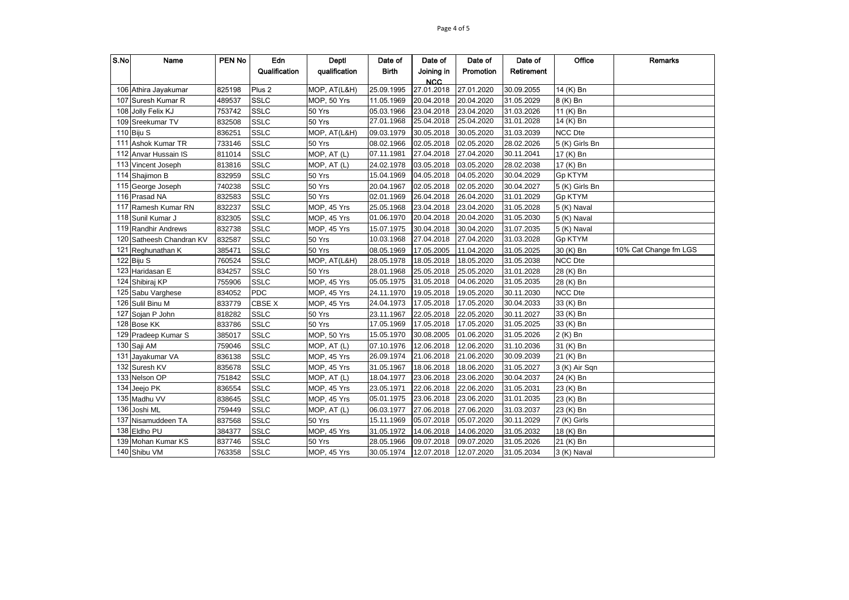| S.No | Name                     | <b>PEN No</b> | Edn               | Deptl                      | Date of               | Date of    | Date of    | Date of    | Office         | <b>Remarks</b>        |
|------|--------------------------|---------------|-------------------|----------------------------|-----------------------|------------|------------|------------|----------------|-----------------------|
|      |                          |               | Qualification     | qualification              | <b>Birth</b>          | Joining in | Promotion  | Retirement |                |                       |
|      |                          |               |                   |                            |                       | <b>NCC</b> |            |            |                |                       |
|      | 106 Athira Jayakumar     | 825198        | Plus <sub>2</sub> | $\overline{M}$ OP, AT(L&H) | 25.09.1995            | 27.01.2018 | 27.01.2020 | 30.09.2055 | 14 (K) Bn      |                       |
|      | 107 Suresh Kumar R       | 489537        | <b>SSLC</b>       | MOP, 50 Yrs                | 11.05.1969            | 20.04.2018 | 20.04.2020 | 31.05.2029 | 8 (K) Bn       |                       |
|      | 108 Jolly Felix KJ       | 753742        | <b>SSLC</b>       | 50 Yrs                     | 05.03.1966            | 23.04.2018 | 23.04.2020 | 31.03.2026 | 11 (K) Bn      |                       |
|      | 109 Sreekumar TV         | 832508        | <b>SSLC</b>       | 50 Yrs                     | 27.01.1968            | 25.04.2018 | 25.04.2020 | 31.01.2028 | 14 (K) Bn      |                       |
|      | 110 Biju S               | 836251        | <b>SSLC</b>       | MOP, AT(L&H)               | 09.03.1979            | 30.05.2018 | 30.05.2020 | 31.03.2039 | NCC Dte        |                       |
| 111  | Ashok Kumar TR           | 733146        | <b>SSLC</b>       | 50 Yrs                     | 08.02.1966            | 02.05.2018 | 02.05.2020 | 28.02.2026 | 5 (K) Girls Bn |                       |
| 112  | Anvar Hussain IS         | 811014        | <b>SSLC</b>       | MOP, AT (L)                | 07.11.1981            | 27.04.2018 | 27.04.2020 | 30.11.2041 | 17 (K) Bn      |                       |
|      | 113 Vincent Joseph       | 813816        | <b>SSLC</b>       | MOP, AT (L)                | 24.02.1978            | 03.05.2018 | 03.05.2020 | 28.02.2038 | 17 (K) Bn      |                       |
|      | 114 Shajimon B           | 832959        | <b>SSLC</b>       | 50 Yrs                     | 15.04.1969            | 04.05.2018 | 04.05.2020 | 30.04.2029 | <b>Gp KTYM</b> |                       |
|      | 115 George Joseph        | 740238        | <b>SSLC</b>       | 50 Yrs                     | 20.04.1967            | 02.05.2018 | 02.05.2020 | 30.04.2027 | 5 (K) Girls Bn |                       |
|      | 116 Prasad NA            | 832583        | <b>SSLC</b>       | 50 Yrs                     | 02.01.1969            | 26.04.2018 | 26.04.2020 | 31.01.2029 | Gp KTYM        |                       |
| 117  | Ramesh Kumar RN          | 832237        | <b>SSLC</b>       | MOP, 45 Yrs                | 25.05.1968            | 23.04.2018 | 23.04.2020 | 31.05.2028 | 5 (K) Naval    |                       |
|      | 118 Sunil Kumar J        | 832305        | <b>SSLC</b>       | MOP, 45 Yrs                | 01.06.1970            | 20.04.2018 | 20.04.2020 | 31.05.2030 | 5 (K) Naval    |                       |
|      | 119 Randhir Andrews      | 832738        | <b>SSLC</b>       | MOP, 45 Yrs                | 15.07.1975            | 30.04.2018 | 30.04.2020 | 31.07.2035 | 5 (K) Naval    |                       |
|      | 120 Satheesh Chandran KV | 832587        | <b>SSLC</b>       | 50 Yrs                     | 10.03.1968            | 27.04.2018 | 27.04.2020 | 31.03.2028 | Gp KTYM        |                       |
|      | 121 Reghunathan K        | 385471        | <b>SSLC</b>       | 50 Yrs                     | 08.05.1969            | 17.05.2005 | 11.04.2020 | 31.05.2025 | 30 (K) Bn      | 10% Cat Change fm LGS |
|      | 122 Biju S               | 760524        | <b>SSLC</b>       | MOP, AT(L&H)               | 28.05.1978            | 18.05.2018 | 18.05.2020 | 31.05.2038 | <b>NCC Dte</b> |                       |
|      | 123 Haridasan E          | 834257        | <b>SSLC</b>       | 50 Yrs                     | 28.01.1968            | 25.05.2018 | 25.05.2020 | 31.01.2028 | 28 (K) Bn      |                       |
|      | 124 Shibiraj KP          | 755906        | <b>SSLC</b>       | MOP, 45 Yrs                | 05.05.1975            | 31.05.2018 | 04.06.2020 | 31.05.2035 | 28 (K) Bn      |                       |
|      | 125 Sabu Varghese        | 834052        | <b>PDC</b>        | MOP, 45 Yrs                | 24.11.1970            | 19.05.2018 | 19.05.2020 | 30.11.2030 | <b>NCC Dte</b> |                       |
|      | 126 Sulil Binu M         | 833779        | CBSE X            | MOP, 45 Yrs                | 24.04.1973            | 17.05.2018 | 17.05.2020 | 30.04.2033 | 33 (K) Bn      |                       |
| 127  | Sojan P John             | 818282        | <b>SSLC</b>       | 50 Yrs                     | 23.11.1967            | 22.05.2018 | 22.05.2020 | 30.11.2027 | 33 (K) Bn      |                       |
|      | 128 Bose KK              | 833786        | <b>SSLC</b>       | 50 Yrs                     | 17.05.1969            | 17.05.2018 | 17.05.2020 | 31.05.2025 | 33 (K) Bn      |                       |
|      | 129 Pradeep Kumar S      | 385017        | <b>SSLC</b>       | <b>MOP, 50 Yrs</b>         | 15.05.1970            | 30.08.2005 | 01.06.2020 | 31.05.2026 | 2 (K) Bn       |                       |
|      | 130 Saji AM              | 759046        | <b>SSLC</b>       | MOP, AT (L)                | 07.10.1976            | 12.06.2018 | 12.06.2020 | 31.10.2036 | 31 (K) Bn      |                       |
| 131  | Jayakumar VA             | 836138        | <b>SSLC</b>       | MOP, 45 Yrs                | 26.09.1974            | 21.06.2018 | 21.06.2020 | 30.09.2039 | 21 (K) Bn      |                       |
|      | 132 Suresh KV            | 835678        | <b>SSLC</b>       | MOP, 45 Yrs                | 31.05.1967            | 18.06.2018 | 18.06.2020 | 31.05.2027 | 3 (K) Air Sqn  |                       |
|      | 133 Nelson OP            | 751842        | <b>SSLC</b>       | MOP, AT (L)                | 18.04.1977            | 23.06.2018 | 23.06.2020 | 30.04.2037 | 24 (K) Bn      |                       |
|      | 134 Jeejo PK             | 836554        | <b>SSLC</b>       | MOP, 45 Yrs                | 23.05.1971            | 22.06.2018 | 22.06.2020 | 31.05.2031 | 23 (K) Bn      |                       |
|      | 135 Madhu VV             | 838645        | <b>SSLC</b>       | MOP, 45 Yrs                | 05.01.1975            | 23.06.2018 | 23.06.2020 | 31.01.2035 | 23 (K) Bn      |                       |
|      | 136 Joshi ML             | 759449        | <b>SSLC</b>       | MOP, AT (L)                | 06.03.1977            | 27.06.2018 | 27.06.2020 | 31.03.2037 | 23 (K) Bn      |                       |
|      | 137 Nisamuddeen TA       | 837568        | <b>SSLC</b>       | 50 Yrs                     | 15.11.1969            | 05.07.2018 | 05.07.2020 | 30.11.2029 | 7 (K) Girls    |                       |
|      | 138 Eldho PU             | 384377        | <b>SSLC</b>       | MOP, 45 Yrs                | 31.05.1972            | 14.06.2018 | 14.06.2020 | 31.05.2032 | 18 (K) Bn      |                       |
|      | 139 Mohan Kumar KS       | 837746        | <b>SSLC</b>       | 50 Yrs                     | 28.05.1966            | 09.07.2018 | 09.07.2020 | 31.05.2026 | 21 (K) Bn      |                       |
|      | 140 Shibu VM             | 763358        | <b>SSLC</b>       | MOP, 45 Yrs                | 30.05.1974 12.07.2018 |            | 12.07.2020 | 31.05.2034 | 3 (K) Naval    |                       |